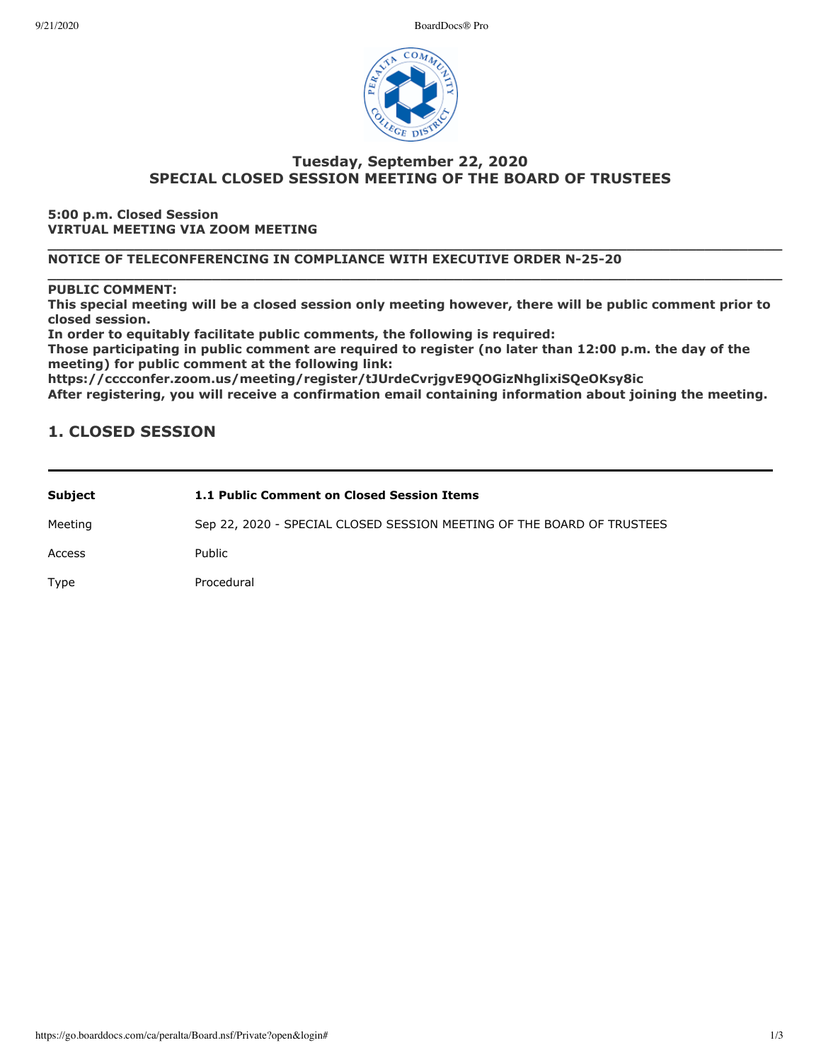9/21/2020 BoardDocs® Pro



## **Tuesday, September 22, 2020 SPECIAL CLOSED SESSION MEETING OF THE BOARD OF TRUSTEES**

**5:00 p.m. Closed Session VIRTUAL MEETING VIA ZOOM MEETING**

**\_\_\_\_\_\_\_\_\_\_\_\_\_\_\_\_\_\_\_\_\_\_\_\_\_\_\_\_\_\_\_\_\_\_\_\_\_\_\_\_\_\_\_\_\_\_\_\_\_\_\_\_\_\_\_\_\_\_\_\_\_\_\_\_\_\_\_\_\_\_\_\_\_\_\_\_\_\_\_\_\_\_\_\_\_ NOTICE OF TELECONFERENCING IN COMPLIANCE WITH EXECUTIVE ORDER N-25-20**

## **\_\_\_\_\_\_\_\_\_\_\_\_\_\_\_\_\_\_\_\_\_\_\_\_\_\_\_\_\_\_\_\_\_\_\_\_\_\_\_\_\_\_\_\_\_\_\_\_\_\_\_\_\_\_\_\_\_\_\_\_\_\_\_\_\_\_\_\_\_\_\_\_\_\_\_\_\_\_\_\_\_\_\_\_\_ PUBLIC COMMENT:**

This special meeting will be a closed session only meeting however, there will be public comment prior to **closed session.**

In order to equitably facilitate public comments, the following is required:

Those participating in public comment are required to register (no later than 12:00 p.m. the day of the meeting) for public comment at the following link:

https://cccconfer.zoom.us/meeting/register/tJUrdeCvrjgvE9QOGizNhglixiSQeOKsy8ic

After registering, you will receive a confirmation email containing information about joining the meeting.

## **1. CLOSED SESSION**

| Subject | 1.1 Public Comment on Closed Session Items                             |
|---------|------------------------------------------------------------------------|
| Meeting | Sep 22, 2020 - SPECIAL CLOSED SESSION MEETING OF THE BOARD OF TRUSTEES |
| Access  | Public                                                                 |
| Type    | Procedural                                                             |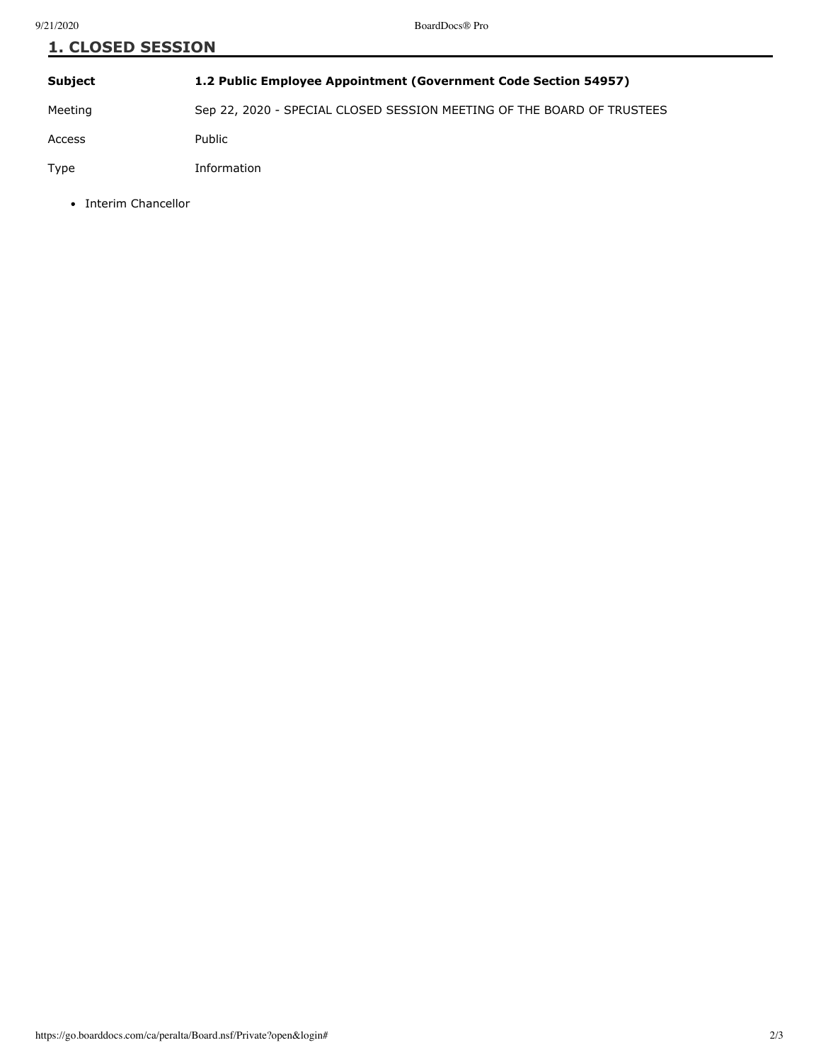| <b>1. CLOSED SESSION</b> |                                                                        |  |
|--------------------------|------------------------------------------------------------------------|--|
| <b>Subject</b>           | 1.2 Public Employee Appointment (Government Code Section 54957)        |  |
| Meeting                  | Sep 22, 2020 - SPECIAL CLOSED SESSION MEETING OF THE BOARD OF TRUSTEES |  |
| Access                   | Public                                                                 |  |
| Type                     | Information                                                            |  |

• Interim Chancellor